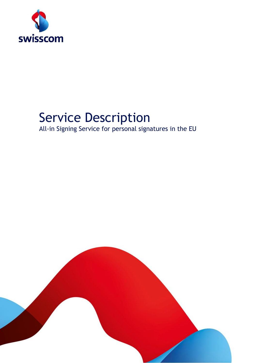

# Service Description

All-in Signing Service for personal signatures in the EU

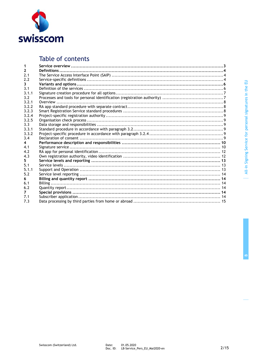

# Table of contents

| $\mathbf{2}$ |  |
|--------------|--|
| 2.1          |  |
| 2.2          |  |
| 3            |  |
| 3.1          |  |
| 3.1.1        |  |
| 3.2          |  |
| 3.2.1        |  |
| 3.2.2        |  |
| 3.2.3        |  |
| 3.2.4        |  |
| 3.2.5        |  |
| 3.3          |  |
| 3.3.1        |  |
| 3.3.2        |  |
| 3.4          |  |
| 4            |  |
| 4.1          |  |
| 4.2          |  |
| 4.3          |  |
| 5.           |  |
| 5.1          |  |
| 5.1.1        |  |
| 5.2          |  |
| 6            |  |
| 6.1          |  |
| 6.2          |  |
| 7            |  |
| 7.1          |  |
| 7.3          |  |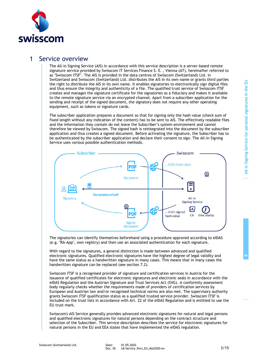

# 1 Service overview

The All-in Signing Service (AIS) in accordance with this service description is a server-based remote signature service provided by Swisscom IT Services Finance S. E. , Vienna (AT), hereinafter referred to as "Swisscom ITSF". The AIS is provided in the data centres of Swisscom (Switzerland) Ltd. in Switzerland and Swisscom (Switzerland) Ltd. distributes the AIS in its own name or grants third parties the right to distribute the AIS in its own name. It enables signatories to electronically sign digital files and thus ensure the integrity and authenticity of a file. The qualified trust service of Swisscom ITSF creates and manages the signature certificate for the signatories as a fiduciary and makes it available to the remote signature service via an encrypted channel. Apart from a subscriber application for the sending and receipt of the signed document, the signatory does not require any other operating equipment, such as tokens or signature cards.

The subscriber application prepares a document so that for signing only the hash value (check sum of fixed length without any indication of the content) has to be sent to AIS. The effectively readable files and the information they contain do not leave the Subscriber's system environment and cannot therefore be viewed by Swisscom. The signed hash is reintegrated into the document by the subscriber application and thus creates a signed document. Before activating the signature, the Subscriber has to be authenticated by the subscriber application and declare their consent to sign. The All-In Signing Service uses various possible authentication methods.



The signatories can identify themselves beforehand using a procedure approved according to eIDAS (e.g. "RA-App", own registry) and then use an associated authentication for each signature.

With regard to the signatures, a general distinction is made between advanced and qualified electronic signatures. Qualified electronic signatures have the highest degree of legal validity and have the same status as a handwritten signature in many cases. This means that in many cases the handwritten signature can be replaced (see section [7.2\)](#page-13-0).

Swisscom ITSF is a recognised provider of signature and certification services in Austria for the issuance of qualified certificates for electronic signatures and electronic seals in accordance with the eIDAS Regulation and the Austrian Signature and Trust Services Act (SVG). A conformity assessment body regularly checks whether the requirements made of providers of certification services by European and Austrian law and/or recognised technical norms are also met. The supervisory authority grants Swisscom ITSF qualification status as a qualified trusted service provider. Swisscom ITSF is included on the trust lists in accordance with Art. 22 of the eIDAS Regulation and is entitled to use the EU trust mark.

Swisscom's AIS Service generally provides advanced electronic signatures for natural and legal persons and qualified electronic signatures for natural persons depending on the contract structure and selection of the Subscriber. This service description describes the service for electronic signatures for natural persons in the EU and EEA states that have implemented the eIDAS regulation.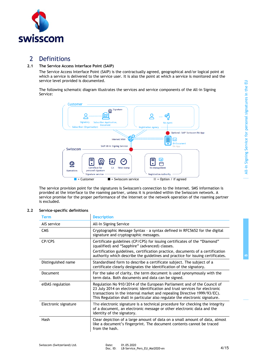**B**



# 2 Definitions

# **2.1 The Service Access Interface Point (SAIP)**

The Service Access Interface Point (SAIP) is the contractually agreed, geographical and/or logical point at which a service is delivered to the service user. It is also the point at which a service is monitored and the service level provided is documented.

The following schematic diagram illustrates the services and service components of the All-in Signing Service:



The service provision point for the signatures is Swisscom's connection to the Internet. SMS information is provided at the interface to the roaming partner, unless it is provided within the Swisscom network. A service promise for the proper performance of the Internet or the network operation of the roaming partner is excluded.

# **2.2 Service-specific definitions**

| <b>Term</b>          | <b>Description</b>                                                                                                                                                                                                                                                                                                |
|----------------------|-------------------------------------------------------------------------------------------------------------------------------------------------------------------------------------------------------------------------------------------------------------------------------------------------------------------|
| AIS service          | All-In Signing Service                                                                                                                                                                                                                                                                                            |
| <b>CMS</b>           | Cryptographic Message Syntax - a syntax defined in RFC5652 for the digital<br>signature and cryptographic messages.                                                                                                                                                                                               |
| CP/CPS               | Certificate guidelines (CP/CPS) for issuing certificates of the "Diamond"<br>(qualified) and "Sapphire" (advanced) classes.                                                                                                                                                                                       |
|                      | Certification guidelines, certification practice, documents of a certification<br>authority which describe the guidelines and practice for issuing certificates.                                                                                                                                                  |
| Distinguished name   | Standardised form to describe a certificate subject. The subject of a<br>certificate clearly designates the identification of the signatory.                                                                                                                                                                      |
| <b>Document</b>      | For the sake of clarity, the term document is used synonymously with the<br>term data. Both documents and data can be signed.                                                                                                                                                                                     |
| eIDAS regulation     | Regulation No 910/2014 of the European Parliament and of the Council of<br>23 July 2014 on electronic identification and trust services for electronic<br>transactions in the internal market and repealing Directive 1999/93/EC).<br>This Regulation shall in particular also regulate the electronic signature. |
| Electronic signature | The electronic signature is a technical procedure for checking the integrity<br>of a document, an electronic message or other electronic data and the<br>identity of the signatory.                                                                                                                               |
| Hash                 | Clear depiction of a large amount of data on a small amount of data, almost<br>like a document's fingerprint. The document contents cannot be traced<br>from the hash.                                                                                                                                            |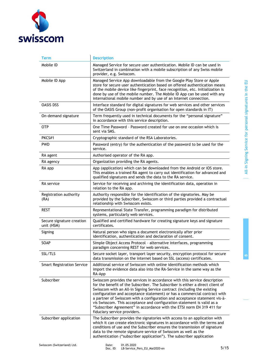

| <b>Term</b>                             | <b>Description</b>                                                                                                                                                                                                                                                                                                                                                                                                                                                                                                                                                                       |
|-----------------------------------------|------------------------------------------------------------------------------------------------------------------------------------------------------------------------------------------------------------------------------------------------------------------------------------------------------------------------------------------------------------------------------------------------------------------------------------------------------------------------------------------------------------------------------------------------------------------------------------------|
| Mobile ID                               | Managed Service for secure user authentication. Mobile ID can be used in<br>Switzerland in combination with a mobile subscription of any Swiss mobile<br>provider, e.g. Swisscom.                                                                                                                                                                                                                                                                                                                                                                                                        |
| Mobile ID App                           | Managed Service App downloadable from the Google Play Store or Apple<br>store for secure user authentication based on offered authentication means<br>of the mobile device like fingerprint, face recognition, etc. Initialization is<br>done by use of the mobile number. The Mobile ID App can be used with any<br>international mobile number and by use of an Internet connection.                                                                                                                                                                                                   |
| <b>OASIS DSS</b>                        | Interface standard for digital signatures for web services and other services<br>of the OASIS Group (non-profit organisation for open standards in IT)                                                                                                                                                                                                                                                                                                                                                                                                                                   |
| On-demand signature                     | Term frequently used in technical documents for the "personal signature"<br>in accordance with this service description.                                                                                                                                                                                                                                                                                                                                                                                                                                                                 |
| 0TP                                     | One Time Password - Password created for use on one occasion which is<br>sent via SMS.                                                                                                                                                                                                                                                                                                                                                                                                                                                                                                   |
| PKCS#1                                  | Cryptographic standard of the RSA Laboratories.                                                                                                                                                                                                                                                                                                                                                                                                                                                                                                                                          |
| <b>PWD</b>                              | Password (entry) for the authentication of the password to be used for the<br>service.                                                                                                                                                                                                                                                                                                                                                                                                                                                                                                   |
| RA agent                                | Authorised operator of the RA app.                                                                                                                                                                                                                                                                                                                                                                                                                                                                                                                                                       |
| RA agency                               | Organization providing the RA agents.                                                                                                                                                                                                                                                                                                                                                                                                                                                                                                                                                    |
| RA app                                  | App (application) which can be downloaded from the Android or iOS store.<br>This enables a trained RA agent to carry out identification for advanced and<br>qualified signatures and sends the data to the RA service.                                                                                                                                                                                                                                                                                                                                                                   |
| RA service                              | Service for receiving and archiving the identification data, operation in<br>relation to the RA app.                                                                                                                                                                                                                                                                                                                                                                                                                                                                                     |
| Registration authority<br>(RA)          | Authority responsible for the identification of the signatories. May be<br>provided by the Subscriber, Swisscom or third parties provided a contractual<br>relationship with Swisscom exists.                                                                                                                                                                                                                                                                                                                                                                                            |
| <b>REST</b>                             | Representational State Transfer, programming paradigm for distributed<br>systems, particularly web services.                                                                                                                                                                                                                                                                                                                                                                                                                                                                             |
| Secure signature creation<br>unit (HSM) | Qualified and certified hardware for creating signature keys and signature<br>certificates.                                                                                                                                                                                                                                                                                                                                                                                                                                                                                              |
| Signing                                 | Natural person who signs a document electronically after prior<br>identification, authentication and declaration of consent.                                                                                                                                                                                                                                                                                                                                                                                                                                                             |
| SOAP                                    | Simple Object Access Protocol - alternative interfaces, programming<br>paradigm concerning REST for web services.                                                                                                                                                                                                                                                                                                                                                                                                                                                                        |
| SSL/TLS                                 | Secure socket layer, transport layer security, encryption protocol for secure<br>data transmission on the internet based on SSL (access) certificates.                                                                                                                                                                                                                                                                                                                                                                                                                                   |
| <b>Smart Registration Service</b>       | Additional service of Swisscom with online identification methods which<br>import the evidence data also into the RA-Service in the same way as the<br>RA-App                                                                                                                                                                                                                                                                                                                                                                                                                            |
| Subscriber                              | Swisscom provides the services in accordance with this service description<br>for the benefit of the Subscriber. The Subscriber is either a direct client of<br>Swisscom with an All-in Signing Service contract (including the existing<br>configuration and acceptance statement) or has a commercial contract with<br>a partner of Swisscom with a configuration and acceptance statement vis-à-<br>vis Swisscom. This acceptance and configuration statement is valid as a<br>"Subscriber Agreement" in accordance with the ETSI norm EN 319 411 for<br>fiduciary service providers. |
| Subscriber application                  | The Subscriber provides the signatories with access to an application with<br>which it can create electronic signatures in accordance with the terms and<br>conditions of use and the Subscriber ensures the transmission of signature<br>data to the remote signature service of Swisscom as well as the<br>authentication ("subscriber application"). The subscriber application                                                                                                                                                                                                       |
| Swisscom (Switzerland) Ltd              | 01 05 2020<br>Date:                                                                                                                                                                                                                                                                                                                                                                                                                                                                                                                                                                      |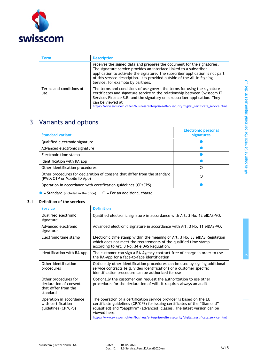

| Term                           | <b>Description</b>                                                                                                                                                                                                                                                                                                                                        |
|--------------------------------|-----------------------------------------------------------------------------------------------------------------------------------------------------------------------------------------------------------------------------------------------------------------------------------------------------------------------------------------------------------|
|                                | receives the signed data and prepares the document for the signatories.<br>The signature service provides an interface linked to a subscriber<br>application to activate the signature. The subscriber application is not part<br>of this service description. It is provided outside of the All-In Signing<br>Service, for example by partners.          |
| Terms and conditions of<br>use | The terms and conditions of use govern the terms for using the signature<br>certificates and signature service in the relationship between Swisscom IT<br>Services Finance S.E. and the signatory on a subscriber application. They<br>can be viewed at<br>https://www.swisscom.ch/en/business/enterprise/offer/security/digital_certificate_service.html |

# 3 Variants and options

| <b>Standard variant</b>                                                                                 | <b>Electronic personal</b><br>signatures |
|---------------------------------------------------------------------------------------------------------|------------------------------------------|
| Qualified electronic signature                                                                          |                                          |
| Advanced electronic signature                                                                           |                                          |
| Electronic time stamp                                                                                   |                                          |
| Identification with RA app                                                                              |                                          |
| Other identification procedures                                                                         | ∩                                        |
| Other procedures for declaration of consent that differ from the standard<br>(PWD/OTP or Mobile ID App) | ∩                                        |
| Operation in accordance with certification guidelines (CP/CPS)                                          |                                          |

 $\bullet$  = Standard (included in the price)  $\quad$   $\circ$  = For an additional charge

# **3.1 Definition of the services**

| <b>Service</b>                                                                     | <b>Definition</b>                                                                                                                                                                                                                             |
|------------------------------------------------------------------------------------|-----------------------------------------------------------------------------------------------------------------------------------------------------------------------------------------------------------------------------------------------|
| Qualified electronic<br>signature                                                  | Qualified electronic signature in accordance with Art. 3 No. 12 eIDAS-VO.                                                                                                                                                                     |
| Advanced electronic<br>signature                                                   | Advanced electronic signature in accordance with Art. 3 No. 11 eIDAS-VO.                                                                                                                                                                      |
| Electronic time stamp                                                              | Electronic time stamp within the meaning of Art. 3 No. 33 eIDAS Regulation<br>which does not meet the requirements of the qualified time stamp<br>according to Art. 3 No. 34 eIDAS Regulation.                                                |
| Identification with RA App                                                         | The customer can sign a RA-Agency contract free of charge in order to use<br>the RA-App for a face-to-face identification                                                                                                                     |
| Other identification<br>procedures                                                 | Optionally other identification procedures can be used by signing additional<br>service contracts (e.g. Video Identification) or a customer specific<br>identification procedure can be authorized for use                                    |
| Other procedures for<br>declaration of consent<br>that differ from the<br>standard | Optionally the customer can request the authorization to use other<br>procedures for the declaration of will. It requires always an audit.                                                                                                    |
| Operation in accordance<br>with certification<br>guidelines (CP/CPS)               | The operation of a certification service provider is based on the EU<br>certificate guidelines (CP/CPS) for issuing certificates of the "Diamond"<br>(qualified) and "Sapphire" (advanced) classes. The latest version can be<br>viewed here: |
|                                                                                    | https://www.swisscom.ch/en/business/enterprise/offer/security/digital_certificate_service.html                                                                                                                                                |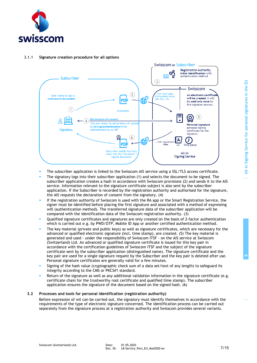

# 3.1.1 **Signature creation procedure for all options**



- The subscriber application is linked to the Swisscom AIS service using a SSL/TLS access certificate.
- The signatory logs into their subscriber application (1) and selects the document to be signed. The subscriber application creates a hash in accordance with Swisscom provisions (2) and sends it to the AIS service. Information relevant to the signature certificate subject is also sent by the subscriber application. If the Subscriber is recorded by the registration authority and authorised for the signature, the AIS requests the declaration of consent from the signatory. (4)
- If the registration authority of Swisscom is used with the RA app or the Smart Registration Service, the signer must be identified before placing the first signature and associated with a method of expressing will (authentication method). The transferred signature data of the subscriber application will be compared with the identification data of the Swisscom registration authority. (3)
- Oualified signature certificates and signatures are only created on the basis of 2-factor authentication which is carried out e.g. by PWD/OTP, Mobile ID App or another certified authentication method.
- The key material (private and public keys) as well as signature certificates, which are necessary for the advanced or qualified electronic signature (incl. time stamp), are created. (5) The key material is generated and used - under the responsibility of Swisscom ITSF - on the AIS service at Swisscom (Switzerland) Ltd. An advanced or qualified signature certificate is issued for this key pair in accordance with the certification guidelines of Swisscom ITSF and the subject of the signature certificate sent by the subscriber application (distinguished name). The signature certificate and the key pair are used for a single signature request by the Subscriber and the key pair is deleted after use. Personal signature certificates are generally valid for a few minutes.
- Signing of the hash value (cryptographic check sum of a data set/text of any length) to safeguard its integrity according to the CMS or PKCS#1 standard.
- Return of the signature as well as any additional validation information in the signature certificate (e.g. certificate chain for the trustworthy root certificate and qualified time stamp). The subscriber application ensures the signature of the document based on the signed hash. (6)

# **3.2 Processes and tools for personal identification (registration authority)**

<span id="page-6-0"></span>Before expression of wil can be carried out, the signatory must identify themselves in accordance with the requirements of the type of electronic signature concerned. The identification process can be carried out separately from the signature process at a registration authority and Swisscom provides several variants.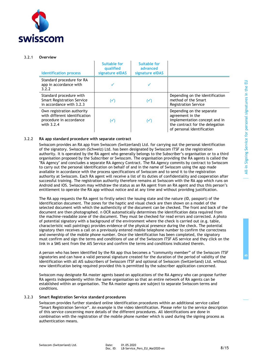

# 3.2.1 **Overview**

| <b>Identification process</b>                                                                        | <b>Suitable for</b><br>qualified<br>signature elDAS | Suitable for<br>advanced<br>signature elDAS |                                                                                                                                                 |
|------------------------------------------------------------------------------------------------------|-----------------------------------------------------|---------------------------------------------|-------------------------------------------------------------------------------------------------------------------------------------------------|
| Standard procedure for RA<br>app in accordance with<br>3.2.2                                         |                                                     |                                             |                                                                                                                                                 |
| Standard procedure with<br><b>Smart Registration Service</b><br>in accordance with 3.2.3             | $(\checkmark)$                                      | $(\checkmark)$                              | Depending on the identification<br>method of the Smart<br><b>Registration Service</b>                                                           |
| Own registration authority<br>with different identification<br>procedure in accordance<br>with 3.2.4 | $(\checkmark)$                                      | $(\checkmark)$                              | Depending on the separate<br>agreement in the<br>implementation concept and in<br>the contract for the delegation<br>of personal identification |

# 3.2.2 **RA app standard procedure with separate contract**

<span id="page-7-0"></span>Swisscom provides an RA app from Swisscom (Switzerland) Ltd. for carrying out the personal identification of the signatory. Swisscom (Schweiz) Ltd. has been designated by Swisscom ITSF as the registration authority. It is operated by the RA agent who generally belongs to the Subscriber's organisation or to a third organisation proposed by the Subscriber or Swisscom. The organisation providing the RA agents is called the "RA Agency" and concludes a separate RA Agency Contract. The RA Agency commits by contract to Swisscom to carry out the personal identification on behalf of and in the name of Swisscom using the app made available in accordance with the process specifications of Swisscom and to send it to the registration authority at Swisscom. Each RA agent will receive a list of its duties of confidentiality and cooperation after successful training. The registration authority therefore remains at Swisscom with the RA app which runs on Android and iOS. Swisscom may withdraw the status as an RA agent from an RA agent and thus this person's entitlement to operate the RA app without notice and at any time and without providing justification.

The RA app requests the RA agent to firstly select the issuing state and the nature (ID, passport) of the identification document. The zones for the haptic and visual check are then shown on a model of the selected document with which the authenticity of the document can be checked. The front and back of the document are then photographed. n OCR automatically determines the identification data required from the machine-readable zone of the document. They must be checked for read errors and corrected. A photo of potential signatory with a background of the environment where the check is carried out (e.g. table, characteristic wall paintings) provides evidence of the physical presence during the check. The potential signatory then receives a call on a previously entered mobile telephone number to confirm the correctness and ownership of the mobile phone number. Once the identification has been completed, the signatory must confirm and sign the terms and conditions of use of the Swisscom ITSF AIS service and they click on the link in a SMS sent from the AIS Service and confirm the terms and conditions indicated therein.

A person who has been identified by the RA app thus becomes a "community member" of the Swisscom ITSF signatories and can have a valid personal signature created for the duration of the period of validity of the identification with all AIS subscribers of Swisscom ITSF and optional of Swisscom (Switzerland) Ltd. without new identification being required provided this is permitted by the subscriber application concerned.

Swisscom may designate RA master agents based on applications of the RA Agency who can propose further RA agents independently within the same organisation so that an entire network of RA agents can be established within an organisation. The RA master agents are subject to separate Swisscom terms and conditions.

## 3.2.3 **Smart Registration Service standard procedures**

<span id="page-7-1"></span>Swisscom provides further standard online identification procedures within an additional service called "Smart Registration Service". An example is the video identification. Please refer to the service description of this service concerning more details of the different procedures. All identifications are done in combination with the registration of the mobile phone number which is used during the signing process as authentication means.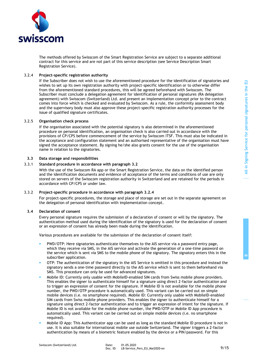**B**



The methods offered by Swisscom of the Smart Registration Service are subject to a separate additional contract for this service and are not part of this service description (see Service Description Smart Registration Service).

## 3.2.4 **Project-specific registration authority**

<span id="page-8-0"></span>If the Subscriber does not wish to use the aforementioned procedure for the identification of signatories and wishes to set up its own registration authority with project-specific identification or to otherwise differ from the aforementioned standard procedures, this will be agreed beforehand with Swisscom. The Subscriber must conclude a delegation agreement for identification of personal signatures (RA delegation agreement) with Swisscom (Switzerland) Ltd. and present an implementation concept prior to the contract comes into force which is checked and evaluated by Swisscom. As a rule, the conformity assessment body and the supervisory body must also approve these project-specific registration authority processes for the issue of qualified signature certificates.

## 3.2.5 **Organisation check process**

If the organisation associated with the potential signatory is also determined in the aforementioned procedure on personal identification, an organisation check is also carried out in accordance with the provisions of CP/CPS before commencement of the service by Swisscom ITSF. This must also be indicated in the acceptance and configuration statement and an authorised representative of the organisation must have signed the acceptance statement. By signing he/she also grants consent for the use of the organisation name in relation to the signatories.

## **3.3 Data storage and responsibilities**

# 3.3.1 **Standard procedure in accordance with paragraph [3.2](#page-6-0)**

With the use of the Swisscom RA app or the Smart Registration Service, the data on the identified person and the identification documents and evidence of acceptance of the terms and conditions of use are only stored on servers of the Swisscom registration authority in Switzerland and are retained for the periods in accordance with CP/CPS or under law.

#### 3.3.2 **Project-specific procedure in accordance with paragraph [3.2.4](#page-8-0)**

For project-specific procedures, the storage and place of storage are set out in the separate agreement on the delegation of personal identification with implementation concept.

#### **3.4 Declaration of consent**

Every personal signature requires the submission of a declaration of consent or will by the signatory. The authentication method used during the identification of the signatory is used for the declaration of consent or an expression of consent has already been made during the identification.

Various procedures are available for the submission of the declaration of consent itself:

- PWD/OTP: Here signatories authenticate themselves to the AIS service via a password entry page, which they receive via SMS, in the AIS service and activate the generation of a one-time password on the service which is sent via SMS to the mobile phone of the signatory. The signatory enters this in the subscriber application.
- OTP: The authentication of the signatory in the AIS Service is omitted in this procedure and instead the signatory sends a one-time password directly to the AIS service which is sent to them beforehand via SMS. This procedure can only be used for advanced signatures.
- Mobile ID: Currently only usable with MobileID-enabled SIM cards from Swiss mobile phone providers. This enables the signer to authenticate himself for a signature using direct 2-factor authentication and to trigger an expression of consent for the signature. If Mobile ID is not available for the mobile phone number, the PWD/OTP procedure is automatically used. This variant can be carried out on simple mobile devices (i.e. no smartphone required). Mobile ID: Currently only usable with MobileID-enabled SIM cards from Swiss mobile phone providers. This enables the signer to authenticate himself for a signature using direct 2-factor authentication and to trigger an expression of intent for the signature. If Mobile ID is not available for the mobile phone number, the PWD/OTP or Mobile ID App procedure is automatically used. This variant can be carried out on simple mobile devices (i.e. no smartphone required).
- Mobile ID App: This Authenticator app can be used as long as the standard Mobile ID procedure is not in use. It is also suitable for international mobile use outside Switzerland. The signer triggers a 2-factor authentication by means of a biometric feature enabled by the device or a PIN/password. For this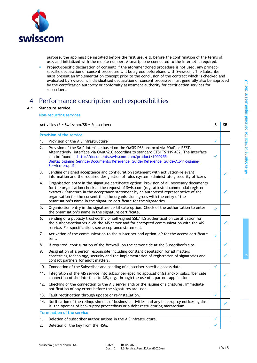

purpose, the app must be installed before the first use, e.g. before the confirmation of the terms of use, and initialized with the mobile number. A smartphone connected to the Internet is required.

▪ Project-specific declaration of consent: If the aforementioned procedure is not used, any projectspecific declaration of consent procedure will be agreed beforehand with Swisscom. The Subscriber must present an implementation concept prior to the conclusion of the contract which is checked and evaluated by Swisscom. Individualised declaration of consent processes must generally also be approved by the certification authority or conformity assessment authority for certification services for subscribers.

# 4 Performance description and responsibilities

## **4.1 Signature service**

**Non-recurring services**

Activities (S = Swisscom/SB = Subscriber) **S SB Provision of the service** 1. Provision of the AIS infrastructure 2. Provision of the SAIP interface based on the OASIS DSS protocol via SOAP or REST. Alternatively, interface via OAuth2.0 according to standard ETSI TS 119 432. The interface can be found at [http://documents.swisscom.com/product/1000255-](http://documents.swisscom.com/product/1000255-Digital_Signing_Service/Documents/Reference_Guide/Reference_Guide-All-in-Signing-Service-en.pdf) [Digital\\_Signing\\_Service/Documents/Reference\\_Guide/Reference\\_Guide-All-in-Signing-](http://documents.swisscom.com/product/1000255-Digital_Signing_Service/Documents/Reference_Guide/Reference_Guide-All-in-Signing-Service-en.pdf)[Service-en.pdf](http://documents.swisscom.com/product/1000255-Digital_Signing_Service/Documents/Reference_Guide/Reference_Guide-All-in-Signing-Service-en.pdf)  $\checkmark$ 3. Sending of signed acceptance and configuration statement with activation-relevant information and the required designation of roles (system administrator, security officer). 4. Organisation entry in the signature certificate option: Provision of all necessary documents for the organisation check at the request of Swisscom (e.g. attested commercial register extract). Signature in the acceptance statement by an authorised representative of the organisation for the consent that the organisation agrees with the entry of the organisation's name in the signature certificate for the signatories.  $\mathcal{A}$ 5. Organisation entry in the signature certificate option: Check of the authorisation to enter the organisation's name in the signature certificate. 6. Sending of a publicly trustworthy or self-signed SSL/TLS authentication certification for the authentication vis-à-vis the AIS server and for encrypted communication with the AIS service. For specifications see acceptance statement.  $\mathcal{A}$ 7. Activation of the communication to the subscriber and option IdP for the access certificate sent.  $\checkmark$  . The set of  $\checkmark$ 8. If required, configuration of the firewall, on the server side at the Subscriber's site. 9. Designation of a person responsible including constant deputation for all matters concerning technology, security and the implementation of registration of signatories and contact partners for audit matters.  $\mathcal{A}$ 10. Connection of the Subscriber and sending of subscriber-specific access data. 11. Integration of the AIS service into subscriber-specific application(s) and/or subscriber side connection of the interface to AIS, e.g. through the use of a partner application. 12. Checking of the connection to the AIS server and/or the issuing of signatures. Immediate notification of any errors before the signatures are used. 13. Fault rectification through update or re-installation. 14. Notification of the relinquishment of business activities and any bankruptcy notices against it, the opening of bankruptcy proceedings or a debt restructuring moratorium. **Termination of the service** 1. Deletion of subscriber authorisations in the AIS infrastructure. 2. Deletion of the key from the HSM.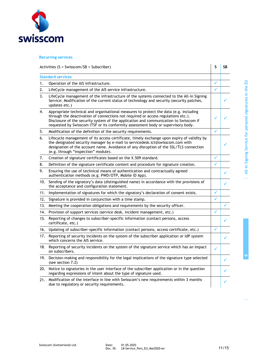

# **Recurring services**

| Activities ( $S = Swisscom/SB = Subscripter$ ) |                                                                                                                                                                                                                                                                                                                                                          |              | <b>SB</b> |
|------------------------------------------------|----------------------------------------------------------------------------------------------------------------------------------------------------------------------------------------------------------------------------------------------------------------------------------------------------------------------------------------------------------|--------------|-----------|
| <b>Standard services</b>                       |                                                                                                                                                                                                                                                                                                                                                          |              |           |
| 1.                                             | Operation of the AIS infrastructure.                                                                                                                                                                                                                                                                                                                     | ✓            |           |
| 2.                                             | LifeCycle management of the AIS service infrastructure.                                                                                                                                                                                                                                                                                                  | $\checkmark$ |           |
| 3.                                             | LifeCycle management of the infrastructure of the systems connected to the All-in Signing<br>Service: Modification of the current status of technology and security (security patches,<br>updates etc.)                                                                                                                                                  |              |           |
| 4.                                             | Appropriate technical and organisational measures to protect the data (e.g. including<br>through the deactivation of connections not required or access regulations etc.).<br>Disclosure of the security system of the application and communication to Swisscom if<br>requested by Swisscom ITSF or its conformity assessment body or supervisory body. |              |           |
| 5.                                             | Modification of the definition of the security requirements.                                                                                                                                                                                                                                                                                             | ✓            |           |
| 6.                                             | Lifecycle management of its access certificate, timely exchange upon expiry of validity by<br>the designated security manager by e-mail to servicedesk.ict@swisscom.com with<br>designation of the account name. Avoidance of any disruption of the SSL/TLS connection<br>(e.g. through "inspection" module).                                            |              |           |
| 7.                                             | Creation of signature certificates based on the X.509 standard.                                                                                                                                                                                                                                                                                          | ✓            |           |
| 8.                                             | Definition of the signature certificate content and procedure for signature creation.                                                                                                                                                                                                                                                                    |              |           |
| 9.                                             | Ensuring the use of technical means of authentication and contractually agreed<br>authentication methods (e.g. PWD/OTP, Mobile ID App).                                                                                                                                                                                                                  |              |           |
| 10.                                            | Sending of the signatory's data (distinguished name) in accordance with the provisions of<br>the acceptance and configuration statement.                                                                                                                                                                                                                 |              |           |
| 11.                                            | Implementation of signatures for which the signatory's declaration of consent exists.                                                                                                                                                                                                                                                                    | $\checkmark$ |           |
| 12.                                            | Signature is provided in conjunction with a time stamp.                                                                                                                                                                                                                                                                                                  | ✓            |           |
| 13.                                            | Meeting the cooperation obligations and requirements by the security officer.                                                                                                                                                                                                                                                                            |              |           |
| 14.                                            | Provision of support services (service desk, incident management, etc.)                                                                                                                                                                                                                                                                                  |              |           |
| 15.                                            | Reporting of changes to subscriber-specific information (contact persons, access<br>certificate, etc.)                                                                                                                                                                                                                                                   |              |           |
| 16.                                            | Updating of subscriber-specific information (contact persons, access certificate, etc.)                                                                                                                                                                                                                                                                  | ✓            |           |
| 17.                                            | Reporting of security incidents on the system of the subscriber application or IdP system<br>which concerns the AIS service.                                                                                                                                                                                                                             |              | ✓         |
| 18.                                            | Reporting of security incidents on the system of the signature service which has an impact<br>on subscribers.                                                                                                                                                                                                                                            | ✓            |           |
| 19.                                            | Decision-making and responsibility for the legal implications of the signature type selected<br>(see section 7.2)                                                                                                                                                                                                                                        |              |           |
| 20.                                            | Notice to signatories in the user interface of the subscriber application or in the question<br>regarding expressions of intent about the type of signature used.                                                                                                                                                                                        |              |           |
| 21.                                            | Modification of the interface in line with Swisscom's new requirements within 3 months<br>due to regulatory or security requirements.                                                                                                                                                                                                                    |              |           |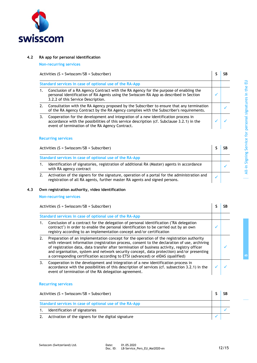

# **4.2 RA app for personal identification**

**Non-recurring services**

Activities  $(S = Swisscom/SB = Subscripter)$  **S SB** 

|                                                         | $F = F = F + F + F$                                                                                                                                                                                                                 |  |
|---------------------------------------------------------|-------------------------------------------------------------------------------------------------------------------------------------------------------------------------------------------------------------------------------------|--|
| Standard services in case of optional use of the RA-App |                                                                                                                                                                                                                                     |  |
|                                                         | Conclusion of a RA Agency Contract with the RA Agency for the purpose of enabling the<br>personal identification of RA Agents using the Swisscom RA App as described in Section<br>3.2.2 of this Service Description.               |  |
|                                                         | Consultation with the RA Agency proposed by the Subscriber to ensure that any termination<br>of the RA Agency Contract by the RA Agency complies with the Subscriber's requirements.                                                |  |
|                                                         | Cooperation for the development and integration of a new identification process in<br>accordance with the possibilities of this service description (cf. Subclause 3.2.1) in the<br>event of termination of the RA Agency Contract. |  |

## **Recurring services**

| Activities $(S = Swisscom/SB = Subscripter)$ |                                                                                                                                                                              |  |
|----------------------------------------------|------------------------------------------------------------------------------------------------------------------------------------------------------------------------------|--|
|                                              | Standard services in case of optional use of the RA-App                                                                                                                      |  |
|                                              | Identification of signatories, registration of additional RA (Master) agents in accordance<br>with RA agency contract                                                        |  |
|                                              | Activation of the signers for the signature, operation of a portal for the administration and<br>registration of all RA agents, further master RA agents and signed persons. |  |

# **4.3 Own registration authority, video identification**

# **Non-recurring services**

| Activities $(S = Swisscom/SB = Subscripter)$                                                                                                                                                                                                                                                                                                                                                                                                                              |  |
|---------------------------------------------------------------------------------------------------------------------------------------------------------------------------------------------------------------------------------------------------------------------------------------------------------------------------------------------------------------------------------------------------------------------------------------------------------------------------|--|
| Standard services in case of optional use of the RA-App                                                                                                                                                                                                                                                                                                                                                                                                                   |  |
| Conclusion of a contract for the delegation of personal identification ("RA delegation<br>contract") in order to enable the personal identification to be carried out by an own<br>registry according to an implementation concept and/or certification                                                                                                                                                                                                                   |  |
| Preparation of an implementation concept for the operation of the registration authority<br>with relevant information (registration process, consent to the declaration of use, archiving<br>of registration data, data transfer after termination of business activity, registry officer<br>and organisation, system and network security concept, data protection) and/or presenting<br>a corresponding certification according to ETSI (advanced) or eIDAS (qualified) |  |
| Cooperation in the development and integration of a new identification process in<br>accordance with the possibilities of this description of services (cf. subsection 3.2.1) in the<br>event of termination of the RA delegation agreement.                                                                                                                                                                                                                              |  |

# **Recurring services**

| Activities ( $S = Swisscom/SB = Subscripter$ )          |                                                     |  |
|---------------------------------------------------------|-----------------------------------------------------|--|
| Standard services in case of optional use of the RA-App |                                                     |  |
|                                                         | Identification of signatories                       |  |
|                                                         | Activation of the signers for the digital signature |  |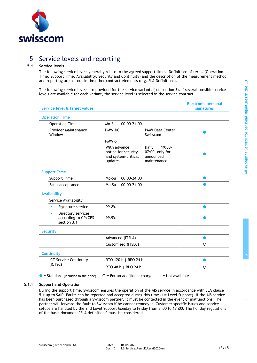

# 5 Service levels and reporting

# **5.1 Service levels**

The following service levels generally relate to the agreed support times. Definitions of terms (Operation Time, Support Time, Availability, Security and Continuity) and the description of the measurement method and reporting are set out in the other contract elements (e.g. SLA Definitions).

The following service levels are provided for the service variants (see section 3). If several possible service levels are available for each variant, the service level is selected in the service contract.

| Service level & target values                                 |                                                                       | Liecti ville personal<br><b>signatures</b>                     |         |
|---------------------------------------------------------------|-----------------------------------------------------------------------|----------------------------------------------------------------|---------|
| <b>Operation Time</b>                                         |                                                                       |                                                                |         |
| <b>Operation Time</b>                                         | 00:00-24:00<br>Mo-Su                                                  |                                                                |         |
| <b>Provider Maintenance</b><br>Window                         | PMW-DC                                                                | <b>PMW Data Center</b><br>Swisscom                             |         |
|                                                               | PMW-S                                                                 |                                                                |         |
|                                                               | With advance<br>notice for security<br>and system-critical<br>updates | 19:00-<br>Daily<br>07:00, only for<br>announced<br>maintenance |         |
| <b>Support Time</b>                                           |                                                                       |                                                                |         |
| Support Time                                                  | 00:00-24:00<br>Mo-Su                                                  |                                                                | ●       |
| Fault acceptance                                              | $00:00 - 24:00$<br>Mo-Su                                              |                                                                |         |
| <b>Availability</b>                                           |                                                                       |                                                                |         |
| Service Availability                                          |                                                                       |                                                                |         |
| Signature service<br>$\blacksquare$                           | 99.8%                                                                 |                                                                |         |
| Directory services<br>٠<br>according to CP/CPS<br>section 3.1 | 99.9%                                                                 |                                                                |         |
| <b>Security</b>                                               |                                                                       |                                                                |         |
|                                                               | Advanced (ITSLA)                                                      |                                                                | o       |
|                                                               | Customised (ITSLC)                                                    |                                                                | $\circ$ |
| <b>Continuity</b>                                             |                                                                       |                                                                |         |
| <b>ICT Service Continuity</b><br>(ICTSC)                      | RTO 120 h   RPO 24 h                                                  |                                                                |         |
|                                                               | RTO 48 h   RPO 24 h                                                   |                                                                | $\circ$ |
| $\bullet$ = Standard (included in the price)                  | $O = For$ an additional charge                                        | $-$ = Not available                                            |         |

#### 5.1.1 **Support and Operation**

During the support time, Swisscom ensures the operation of the AIS service in accordance with SLA clause 5.1 up to SAIP. Faults can be reported and accepted during this time (1st Level Support). If the AIS service has been purchased through a Swisscom partner, it must be contacted in the event of malfunctions. The partner will forward the fault to Swisscom if he cannot remedy it. Customer specific issues and service setups are handled by the 2nd Level Support Monday to Friday from 8h00 to 17h00. The holiday regulations of the basic document "SLA definitions" must be considered.

**Electronic personal** 

 $\mathbf{I}$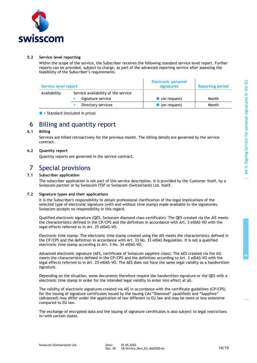

# **5.2 Service level reporting**

Within the scope of the service, the Subscriber receives the following standard service level report. Further reports can be provided, subject to charge, as part of the advanced reporting service after assessing the feasibility of the Subscriber's requirements.

| Service level report |                                                          | <b>Electronic personal</b><br>signatures | <b>Reporting period</b> |
|----------------------|----------------------------------------------------------|------------------------------------------|-------------------------|
| Availability         | Service availability of the service<br>Signature service | • (on request)                           | Month                   |
|                      | Directory services                                       | • (on request)                           | Month                   |

## $\bullet$  = Standard (included in price)

# 6 Billing and quantity report

# **6.1 Billing**

Services are billed retroactively for the previous month. The billing details are governed by the service contract.

# **6.2 Quantity report**

Quantity reports are governed in the service contract.

# 7 Special provisions

# **7.1 Subscriber application**

The subscriber application is not part of this service description. It is provided by the Customer itself, by a Swisscom partner or by Swisscom ITSF or Swisscom (Switzerland) Ltd. itself.

# **7.2 Signature types and their applications**

<span id="page-13-0"></span>It is the Subscriber's responsibility to obtain professional clarification of the legal implications of the selected type of electronic signature (with and without time stamp) made available to the signatories. Swisscom accepts no responsibility in this regard.

Qualified electronic signature (QES, Swisscom diamond class certificate): The QES created via the AIS meets the characteristics defined in the CP/CPS and the definition in accordance with Art. 3 eIDAS-VO with the legal effects referred to in Art. 25 eIDAS-VO.

Electronic time stamp: The electronic time stamp created using the AIS meets the characteristics defined in the CP/CPS and the definition in accordance with Art. 33 No. 33 eIDAS Regulation. It is not a qualified electronic time stamp according to Art. 3 No. 34 eIDAS-VO.

Advanced electronic signature (AES, certificate of Swisscom sapphire class): The AES created via the AIS meets the characteristics defined in the CP/CPS and the definition according to Art. 3 eIDAS-VO with the legal effects referred to in Art. 25 eIDAS-VO. The AES does not have the same legal validity as a handwritten signature.

Depending on the situation, some documents therefore require the handwritten signature or the QES with a electronic time stamp in order for the intended legal validity to enter into effect at all.

The validity of electronic signatures created via AIS in accordance with the certificate guidelines (CP/CPS) for the issuing of signature certificates issued by the issuing CAs "Diamond" (qualified) and "Sapphire" (advanced) may differ under the application of law different to EU law and may be more or less extensive compared to EU law.

The exchange of encrypted data and the issuing of signature certificates is also subject to legal restrictions in/with certain states.